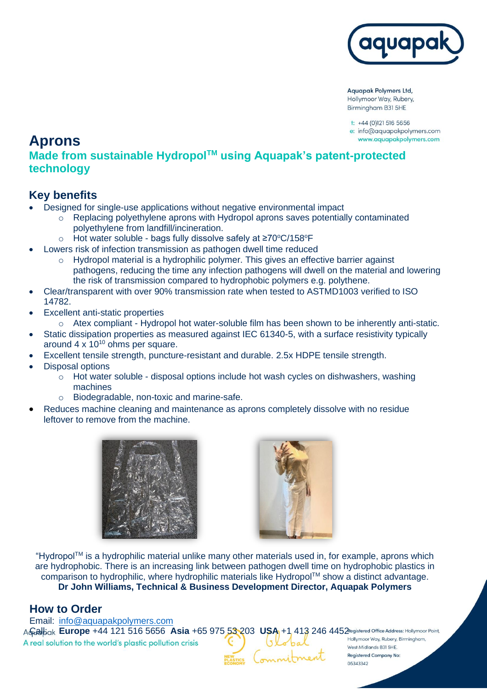

**Aquapak Polymers Ltd,** Hollymoor Way, Rubery, Birmingham B31 5HE

 $t$ : +44 (0)121 516 5656 e: info@aquapakpolymers.com www.aquapakpolymers.com

# **Aprons**

### **Made from sustainable HydropolTM using Aquapak's patent-protected technology**

## **Key benefits**

- Designed for single-use applications without negative environmental impact
	- $\circ$  Replacing polyethylene aprons with Hydropol aprons saves potentially contaminated polyethylene from landfill/incineration.
	- o Hot water soluble bags fully dissolve safely at ≥70°C/158°F
- Lowers risk of infection transmission as pathogen dwell time reduced
	- o Hydropol material is a hydrophilic polymer. This gives an effective barrier against pathogens, reducing the time any infection pathogens will dwell on the material and lowering the risk of transmission compared to hydrophobic polymers e.g. polythene.
- Clear/transparent with over 90% transmission rate when tested to ASTMD1003 verified to ISO 14782.
- **Excellent anti-static properties** 
	- $\circ$  Atex compliant Hydropol hot water-soluble film has been shown to be inherently anti-static.
- Static dissipation properties as measured against IEC 61340-5, with a surface resistivity typically around  $4 \times 10^{10}$  ohms per square.
- Excellent tensile strength, puncture-resistant and durable. 2.5x HDPE tensile strength.
- Disposal options
	- $\circ$  Hot water soluble disposal options include hot wash cycles on dishwashers, washing machines
	- o Biodegradable, non-toxic and marine-safe.
- Reduces machine cleaning and maintenance as aprons completely dissolve with no residue leftover to remove from the machine.





"HydropolTM is a hydrophilic material unlike many other materials used in, for example, aprons which are hydrophobic. There is an increasing link between pathogen dwell time on hydrophobic plastics in comparison to hydrophilic, where hydrophilic materials like Hydropol™ show a distinct advantage. **Dr John Williams, Technical & Business Development Director, Aquapak Polymers** 

#### **How to Order**

Email: [info@aquapakpolymers.com](mailto:info@aquapakpolymers.com) A **Gradi**bak **Europe** +44 121 516 5656 **Asia** +65 975 53 203 USA<sub>1</sub> +1 413 246 4452 registered Office Address: Hollymoor Point, A real solution to the world's plastic pollution crisis

minitment

West Midlands B31 5HE. **Registered Company No:** 05343342